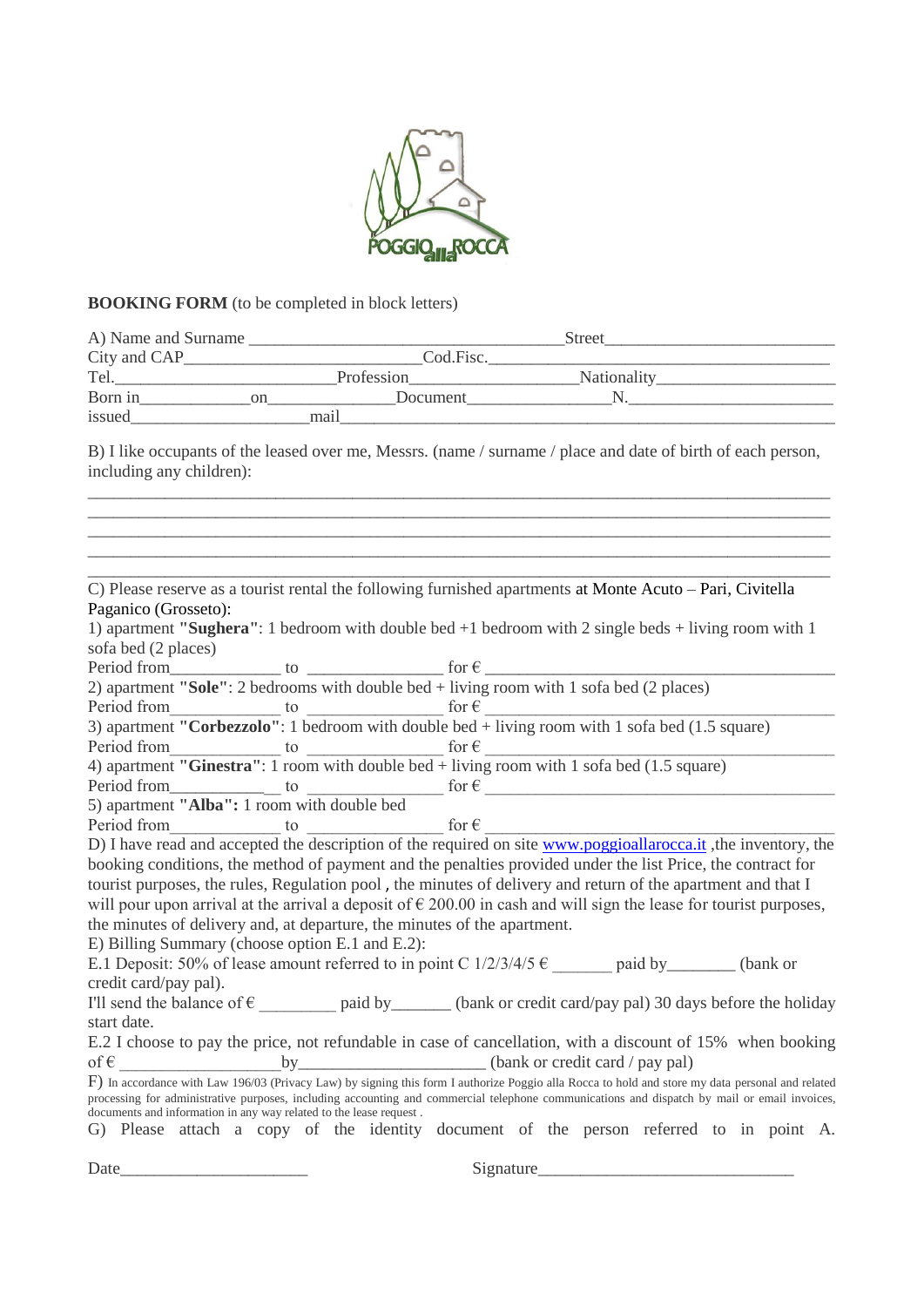

## **BOOKING FORM** (to be completed in block letters)

| A) Name and Surname |     | <b>Street</b><br>Cod.Fisc. |                    |  |  |
|---------------------|-----|----------------------------|--------------------|--|--|
| City and CAP_       |     |                            |                    |  |  |
| Tel.                |     | Profession                 | <b>Nationality</b> |  |  |
| Born in             | on. | Document                   |                    |  |  |
| issued              |     | mail                       |                    |  |  |

B) I like occupants of the leased over me, Messrs. (name / surname / place and date of birth of each person, including any children):

\_\_\_\_\_\_\_\_\_\_\_\_\_\_\_\_\_\_\_\_\_\_\_\_\_\_\_\_\_\_\_\_\_\_\_\_\_\_\_\_\_\_\_\_\_\_\_\_\_\_\_\_\_\_\_\_\_\_\_\_\_\_\_\_\_\_\_\_\_\_\_\_\_\_\_\_\_\_\_\_\_\_\_\_\_\_\_  $\_$  ,  $\_$  ,  $\_$  ,  $\_$  ,  $\_$  ,  $\_$  ,  $\_$  ,  $\_$  ,  $\_$  ,  $\_$  ,  $\_$  ,  $\_$  ,  $\_$  ,  $\_$  ,  $\_$  ,  $\_$  ,  $\_$  ,  $\_$  ,  $\_$  ,  $\_$ 

\_\_\_\_\_\_\_\_\_\_\_\_\_\_\_\_\_\_\_\_\_\_\_\_\_\_\_\_\_\_\_\_\_\_\_\_\_\_\_\_\_\_\_\_\_\_\_\_\_\_\_\_\_\_\_\_\_\_\_\_\_\_\_\_\_\_\_\_\_\_\_\_\_\_\_\_\_\_\_\_\_\_\_\_\_\_\_

|                                                                                                                                                              |  | C) Please reserve as a tourist rental the following furnished apartments at Monte Acuto - Pari, Civitella                                           |  |  |  |  |
|--------------------------------------------------------------------------------------------------------------------------------------------------------------|--|-----------------------------------------------------------------------------------------------------------------------------------------------------|--|--|--|--|
| Paganico (Grosseto):                                                                                                                                         |  |                                                                                                                                                     |  |  |  |  |
|                                                                                                                                                              |  | 1) apartment "Sughera": 1 bedroom with double bed $+1$ bedroom with 2 single beds $+$ living room with 1                                            |  |  |  |  |
| sofa bed (2 places)                                                                                                                                          |  |                                                                                                                                                     |  |  |  |  |
|                                                                                                                                                              |  | Period from<br>2) apartment "Sole": 2 bedrooms with double bed + living room with 1 sofa bed (2 places)                                             |  |  |  |  |
|                                                                                                                                                              |  |                                                                                                                                                     |  |  |  |  |
|                                                                                                                                                              |  | Period from<br>3) apartment "Corbezzolo": 1 bedroom with double bed + living room with 1 sofa bed (1.5 square)                                      |  |  |  |  |
|                                                                                                                                                              |  |                                                                                                                                                     |  |  |  |  |
|                                                                                                                                                              |  | Period from<br>4) apartment "Ginestra": 1 room with double bed + living room with 1 sofa bed (1.5 square)                                           |  |  |  |  |
|                                                                                                                                                              |  |                                                                                                                                                     |  |  |  |  |
|                                                                                                                                                              |  | Period from<br>5) apartment "Alba": 1 room with double bed<br>5) apartment "Alba": 1 room with double bed                                           |  |  |  |  |
|                                                                                                                                                              |  |                                                                                                                                                     |  |  |  |  |
|                                                                                                                                                              |  | Period from<br>D) I have read and accepted the description of the required on site www.poggioallarocca.it, the inventory, the                       |  |  |  |  |
|                                                                                                                                                              |  |                                                                                                                                                     |  |  |  |  |
|                                                                                                                                                              |  | booking conditions, the method of payment and the penalties provided under the list Price, the contract for                                         |  |  |  |  |
| tourist purposes, the rules, Regulation pool, the minutes of delivery and return of the apartment and that I                                                 |  |                                                                                                                                                     |  |  |  |  |
| will pour upon arrival at the arrival a deposit of $\epsilon$ 200.00 in cash and will sign the lease for tourist purposes,                                   |  |                                                                                                                                                     |  |  |  |  |
|                                                                                                                                                              |  | the minutes of delivery and, at departure, the minutes of the apartment.                                                                            |  |  |  |  |
| E) Billing Summary (choose option E.1 and E.2):                                                                                                              |  |                                                                                                                                                     |  |  |  |  |
|                                                                                                                                                              |  | E.1 Deposit: 50% of lease amount referred to in point C $1/2/3/4/5 \epsilon$ paid by (bank or                                                       |  |  |  |  |
| credit card/pay pal).                                                                                                                                        |  |                                                                                                                                                     |  |  |  |  |
|                                                                                                                                                              |  | I'll send the balance of $\epsilon$ ____________ paid by ________ (bank or credit card/pay pal) 30 days before the holiday                          |  |  |  |  |
| start date.                                                                                                                                                  |  |                                                                                                                                                     |  |  |  |  |
|                                                                                                                                                              |  | E.2 I choose to pay the price, not refundable in case of cancellation, with a discount of 15% when booking                                          |  |  |  |  |
|                                                                                                                                                              |  |                                                                                                                                                     |  |  |  |  |
|                                                                                                                                                              |  | $F$ ) In accordance with Law 196/03 (Privacy Law) by signing this form I authorize Poggio alla Rocca to hold and store my data personal and related |  |  |  |  |
|                                                                                                                                                              |  | processing for administrative purposes, including accounting and commercial telephone communications and dispatch by mail or email invoices,        |  |  |  |  |
| documents and information in any way related to the lease request.<br>G) Please attach a copy of the identity document of the person referred to in point A. |  |                                                                                                                                                     |  |  |  |  |
|                                                                                                                                                              |  |                                                                                                                                                     |  |  |  |  |

Date\_\_\_\_\_\_\_\_\_\_\_\_\_\_\_\_\_\_\_\_\_\_ Signature\_\_\_\_\_\_\_\_\_\_\_\_\_\_\_\_\_\_\_\_\_\_\_\_\_\_\_\_\_\_